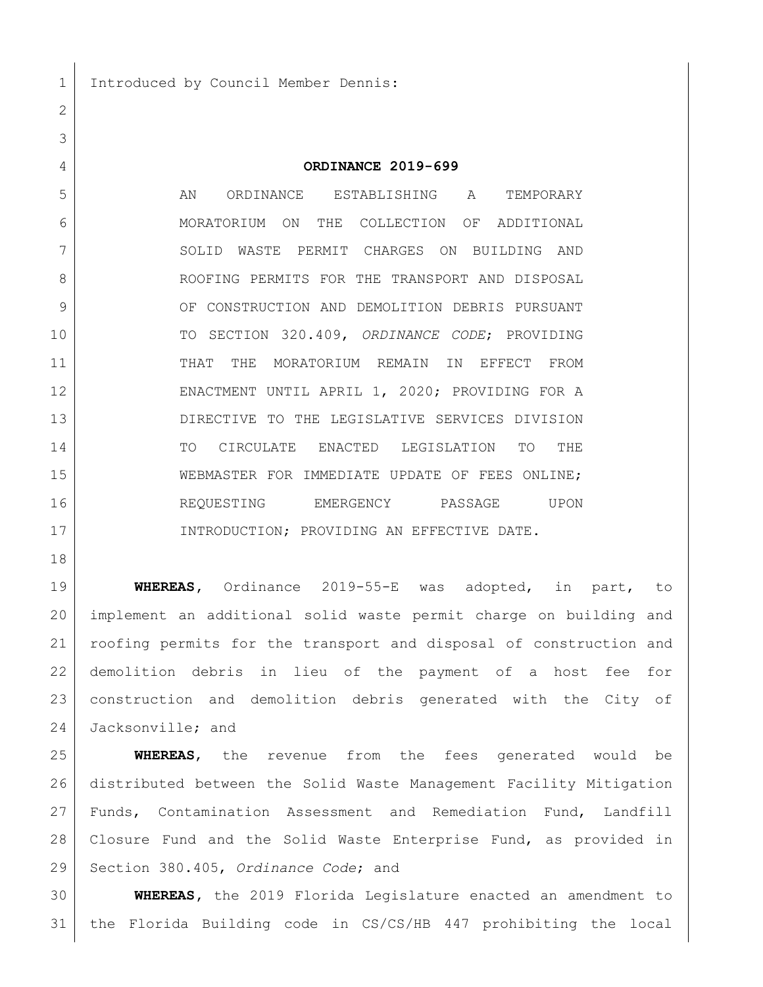## **ORDINANCE 2019-699**

 AN ORDINANCE ESTABLISHING A TEMPORARY MORATORIUM ON THE COLLECTION OF ADDITIONAL 7 SOLID WASTE PERMIT CHARGES ON BUILDING AND ROOFING PERMITS FOR THE TRANSPORT AND DISPOSAL 9 OF CONSTRUCTION AND DEMOLITION DEBRIS PURSUANT TO SECTION 320.409, *ORDINANCE CODE*; PROVIDING THAT THE MORATORIUM REMAIN IN EFFECT FROM ENACTMENT UNTIL APRIL 1, 2020; PROVIDING FOR A DIRECTIVE TO THE LEGISLATIVE SERVICES DIVISION TO CIRCULATE ENACTED LEGISLATION TO THE WEBMASTER FOR IMMEDIATE UPDATE OF FEES ONLINE; REQUESTING EMERGENCY PASSAGE UPON INTRODUCTION; PROVIDING AN EFFECTIVE DATE.

 **WHEREAS,** Ordinance 2019-55-E was adopted, in part, to implement an additional solid waste permit charge on building and roofing permits for the transport and disposal of construction and demolition debris in lieu of the payment of a host fee for construction and demolition debris generated with the City of Jacksonville; and

 **WHEREAS**, the revenue from the fees generated would be distributed between the Solid Waste Management Facility Mitigation Funds, Contamination Assessment and Remediation Fund, Landfill Closure Fund and the Solid Waste Enterprise Fund, as provided in Section 380.405, *Ordinance Code*; and

 **WHEREAS,** the 2019 Florida Legislature enacted an amendment to the Florida Building code in CS/CS/HB 447 prohibiting the local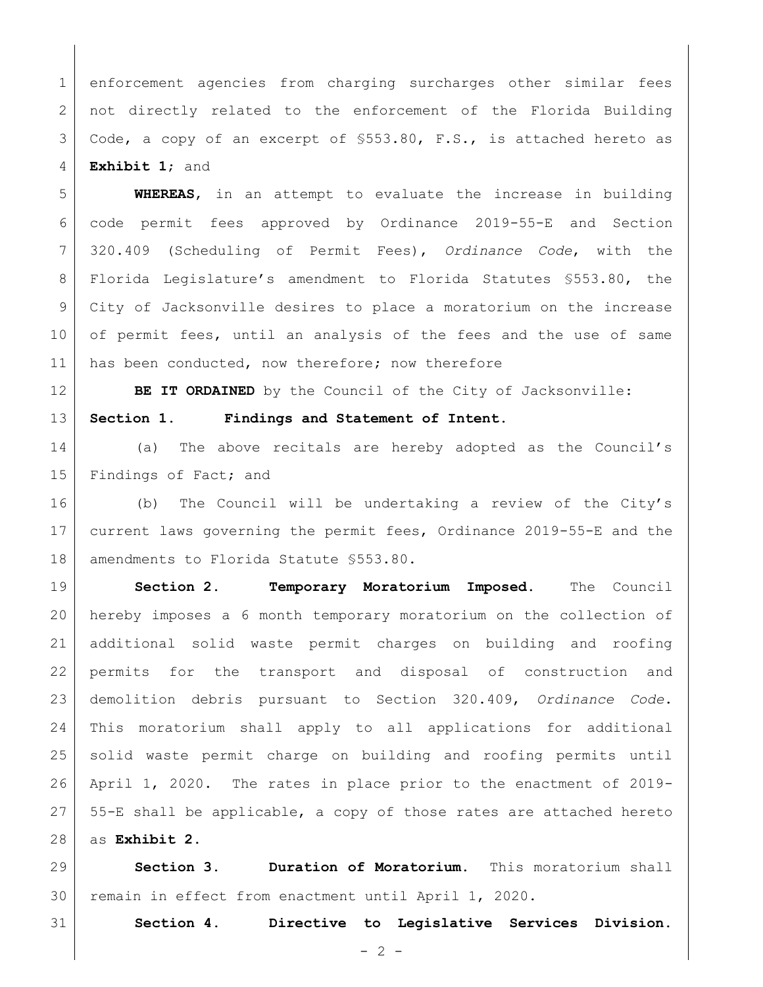enforcement agencies from charging surcharges other similar fees not directly related to the enforcement of the Florida Building Code, a copy of an excerpt of §553.80, F.S., is attached hereto as **Exhibit 1**; and

 **WHEREAS**, in an attempt to evaluate the increase in building code permit fees approved by Ordinance 2019-55-E and Section 320.409 (Scheduling of Permit Fees), *Ordinance Code*, with the Florida Legislature's amendment to Florida Statutes §553.80, the City of Jacksonville desires to place a moratorium on the increase of permit fees, until an analysis of the fees and the use of same 11 has been conducted, now therefore; now therefore

**BE IT ORDAINED** by the Council of the City of Jacksonville:

**Section 1. Findings and Statement of Intent.**

14 (a) The above recitals are hereby adopted as the Council's 15 Findings of Fact; and

 (b) The Council will be undertaking a review of the City's current laws governing the permit fees, Ordinance 2019-55-E and the 18 amendments to Florida Statute §553.80.

 **Section 2. Temporary Moratorium Imposed.** The Council hereby imposes a 6 month temporary moratorium on the collection of additional solid waste permit charges on building and roofing permits for the transport and disposal of construction and demolition debris pursuant to Section 320.409, *Ordinance Code*. This moratorium shall apply to all applications for additional solid waste permit charge on building and roofing permits until April 1, 2020. The rates in place prior to the enactment of 2019- 55-E shall be applicable, a copy of those rates are attached hereto as **Exhibit 2**.

 **Section 3. Duration of Moratorium.** This moratorium shall remain in effect from enactment until April 1, 2020.

**Section 4. Directive to Legislative Services Division.**